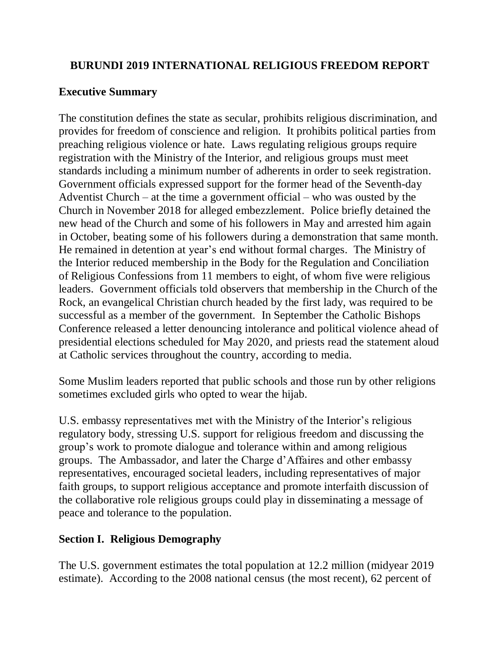## **BURUNDI 2019 INTERNATIONAL RELIGIOUS FREEDOM REPORT**

## **Executive Summary**

The constitution defines the state as secular, prohibits religious discrimination, and provides for freedom of conscience and religion. It prohibits political parties from preaching religious violence or hate. Laws regulating religious groups require registration with the Ministry of the Interior, and religious groups must meet standards including a minimum number of adherents in order to seek registration. Government officials expressed support for the former head of the Seventh-day Adventist Church – at the time a government official – who was ousted by the Church in November 2018 for alleged embezzlement. Police briefly detained the new head of the Church and some of his followers in May and arrested him again in October, beating some of his followers during a demonstration that same month. He remained in detention at year's end without formal charges. The Ministry of the Interior reduced membership in the Body for the Regulation and Conciliation of Religious Confessions from 11 members to eight, of whom five were religious leaders. Government officials told observers that membership in the Church of the Rock, an evangelical Christian church headed by the first lady, was required to be successful as a member of the government. In September the Catholic Bishops Conference released a letter denouncing intolerance and political violence ahead of presidential elections scheduled for May 2020, and priests read the statement aloud at Catholic services throughout the country, according to media.

Some Muslim leaders reported that public schools and those run by other religions sometimes excluded girls who opted to wear the hijab.

U.S. embassy representatives met with the Ministry of the Interior's religious regulatory body, stressing U.S. support for religious freedom and discussing the group's work to promote dialogue and tolerance within and among religious groups. The Ambassador, and later the Charge d'Affaires and other embassy representatives, encouraged societal leaders, including representatives of major faith groups, to support religious acceptance and promote interfaith discussion of the collaborative role religious groups could play in disseminating a message of peace and tolerance to the population.

# **Section I. Religious Demography**

The U.S. government estimates the total population at 12.2 million (midyear 2019 estimate). According to the 2008 national census (the most recent), 62 percent of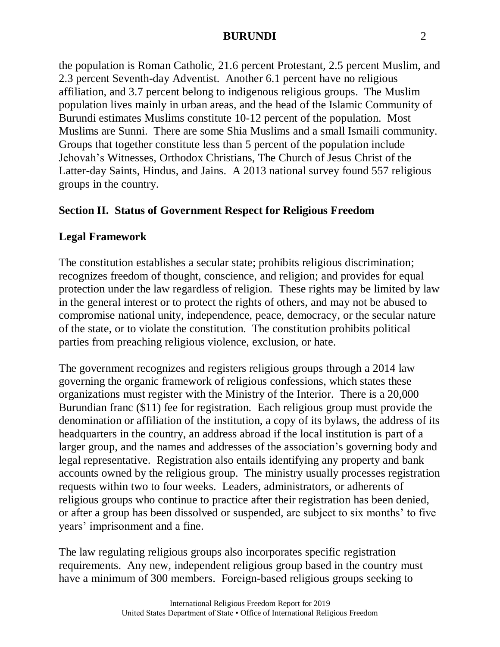the population is Roman Catholic, 21.6 percent Protestant, 2.5 percent Muslim, and 2.3 percent Seventh-day Adventist. Another 6.1 percent have no religious affiliation, and 3.7 percent belong to indigenous religious groups. The Muslim population lives mainly in urban areas, and the head of the Islamic Community of Burundi estimates Muslims constitute 10-12 percent of the population. Most Muslims are Sunni. There are some Shia Muslims and a small Ismaili community. Groups that together constitute less than 5 percent of the population include Jehovah's Witnesses, Orthodox Christians, The Church of Jesus Christ of the Latter-day Saints, Hindus, and Jains. A 2013 national survey found 557 religious groups in the country.

## **Section II. Status of Government Respect for Religious Freedom**

#### **Legal Framework**

The constitution establishes a secular state; prohibits religious discrimination; recognizes freedom of thought, conscience, and religion; and provides for equal protection under the law regardless of religion. These rights may be limited by law in the general interest or to protect the rights of others, and may not be abused to compromise national unity, independence, peace, democracy, or the secular nature of the state, or to violate the constitution. The constitution prohibits political parties from preaching religious violence, exclusion, or hate.

The government recognizes and registers religious groups through a 2014 law governing the organic framework of religious confessions, which states these organizations must register with the Ministry of the Interior. There is a 20,000 Burundian franc (\$11) fee for registration. Each religious group must provide the denomination or affiliation of the institution, a copy of its bylaws, the address of its headquarters in the country, an address abroad if the local institution is part of a larger group, and the names and addresses of the association's governing body and legal representative. Registration also entails identifying any property and bank accounts owned by the religious group. The ministry usually processes registration requests within two to four weeks. Leaders, administrators, or adherents of religious groups who continue to practice after their registration has been denied, or after a group has been dissolved or suspended, are subject to six months' to five years' imprisonment and a fine.

The law regulating religious groups also incorporates specific registration requirements. Any new, independent religious group based in the country must have a minimum of 300 members. Foreign-based religious groups seeking to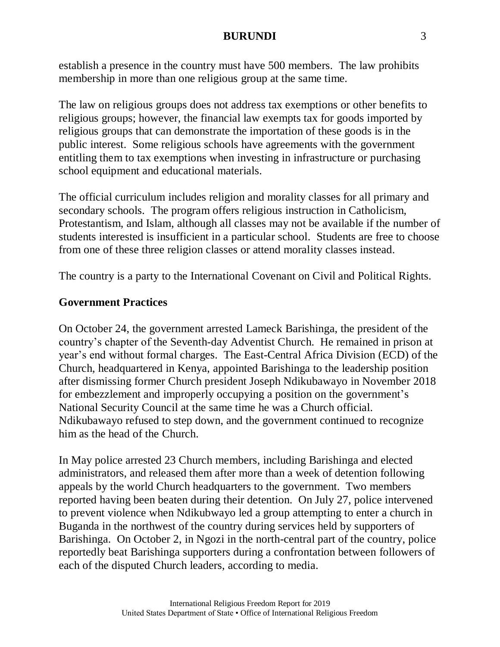establish a presence in the country must have 500 members. The law prohibits membership in more than one religious group at the same time.

The law on religious groups does not address tax exemptions or other benefits to religious groups; however, the financial law exempts tax for goods imported by religious groups that can demonstrate the importation of these goods is in the public interest. Some religious schools have agreements with the government entitling them to tax exemptions when investing in infrastructure or purchasing school equipment and educational materials.

The official curriculum includes religion and morality classes for all primary and secondary schools. The program offers religious instruction in Catholicism, Protestantism, and Islam, although all classes may not be available if the number of students interested is insufficient in a particular school. Students are free to choose from one of these three religion classes or attend morality classes instead.

The country is a party to the International Covenant on Civil and Political Rights.

## **Government Practices**

On October 24, the government arrested Lameck Barishinga, the president of the country's chapter of the Seventh-day Adventist Church. He remained in prison at year's end without formal charges. The East-Central Africa Division (ECD) of the Church, headquartered in Kenya, appointed Barishinga to the leadership position after dismissing former Church president Joseph Ndikubawayo in November 2018 for embezzlement and improperly occupying a position on the government's National Security Council at the same time he was a Church official. Ndikubawayo refused to step down, and the government continued to recognize him as the head of the Church.

In May police arrested 23 Church members, including Barishinga and elected administrators, and released them after more than a week of detention following appeals by the world Church headquarters to the government. Two members reported having been beaten during their detention. On July 27, police intervened to prevent violence when Ndikubwayo led a group attempting to enter a church in Buganda in the northwest of the country during services held by supporters of Barishinga. On October 2, in Ngozi in the north-central part of the country, police reportedly beat Barishinga supporters during a confrontation between followers of each of the disputed Church leaders, according to media.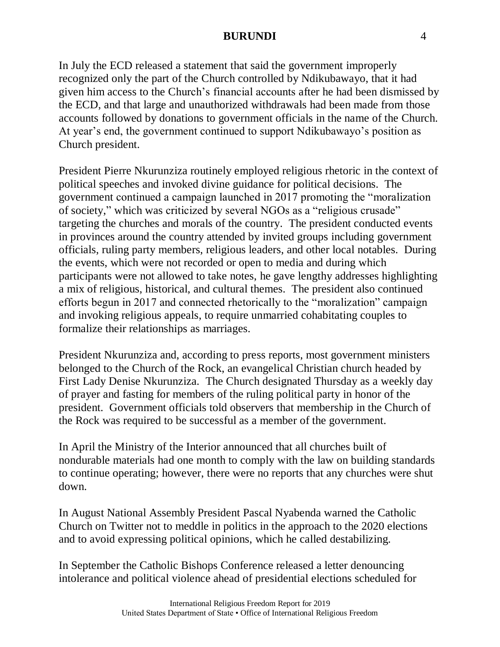In July the ECD released a statement that said the government improperly recognized only the part of the Church controlled by Ndikubawayo, that it had given him access to the Church's financial accounts after he had been dismissed by the ECD, and that large and unauthorized withdrawals had been made from those accounts followed by donations to government officials in the name of the Church. At year's end, the government continued to support Ndikubawayo's position as Church president.

President Pierre Nkurunziza routinely employed religious rhetoric in the context of political speeches and invoked divine guidance for political decisions. The government continued a campaign launched in 2017 promoting the "moralization of society," which was criticized by several NGOs as a "religious crusade" targeting the churches and morals of the country. The president conducted events in provinces around the country attended by invited groups including government officials, ruling party members, religious leaders, and other local notables. During the events, which were not recorded or open to media and during which participants were not allowed to take notes, he gave lengthy addresses highlighting a mix of religious, historical, and cultural themes. The president also continued efforts begun in 2017 and connected rhetorically to the "moralization" campaign and invoking religious appeals, to require unmarried cohabitating couples to formalize their relationships as marriages.

President Nkurunziza and, according to press reports, most government ministers belonged to the Church of the Rock, an evangelical Christian church headed by First Lady Denise Nkurunziza. The Church designated Thursday as a weekly day of prayer and fasting for members of the ruling political party in honor of the president. Government officials told observers that membership in the Church of the Rock was required to be successful as a member of the government.

In April the Ministry of the Interior announced that all churches built of nondurable materials had one month to comply with the law on building standards to continue operating; however, there were no reports that any churches were shut down.

In August National Assembly President Pascal Nyabenda warned the Catholic Church on Twitter not to meddle in politics in the approach to the 2020 elections and to avoid expressing political opinions, which he called destabilizing.

In September the Catholic Bishops Conference released a letter denouncing intolerance and political violence ahead of presidential elections scheduled for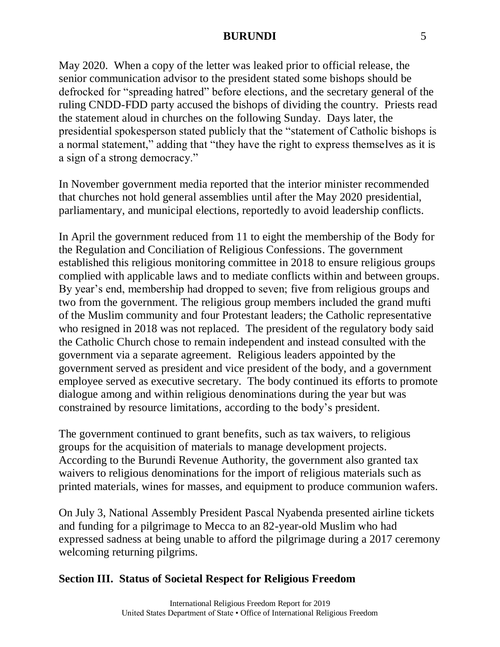May 2020. When a copy of the letter was leaked prior to official release, the senior communication advisor to the president stated some bishops should be defrocked for "spreading hatred" before elections, and the secretary general of the ruling CNDD-FDD party accused the bishops of dividing the country. Priests read the statement aloud in churches on the following Sunday. Days later, the presidential spokesperson stated publicly that the "statement of Catholic bishops is a normal statement," adding that "they have the right to express themselves as it is a sign of a strong democracy."

In November government media reported that the interior minister recommended that churches not hold general assemblies until after the May 2020 presidential, parliamentary, and municipal elections, reportedly to avoid leadership conflicts.

In April the government reduced from 11 to eight the membership of the Body for the Regulation and Conciliation of Religious Confessions. The government established this religious monitoring committee in 2018 to ensure religious groups complied with applicable laws and to mediate conflicts within and between groups. By year's end, membership had dropped to seven; five from religious groups and two from the government. The religious group members included the grand mufti of the Muslim community and four Protestant leaders; the Catholic representative who resigned in 2018 was not replaced. The president of the regulatory body said the Catholic Church chose to remain independent and instead consulted with the government via a separate agreement. Religious leaders appointed by the government served as president and vice president of the body, and a government employee served as executive secretary. The body continued its efforts to promote dialogue among and within religious denominations during the year but was constrained by resource limitations, according to the body's president.

The government continued to grant benefits, such as tax waivers, to religious groups for the acquisition of materials to manage development projects. According to the Burundi Revenue Authority, the government also granted tax waivers to religious denominations for the import of religious materials such as printed materials, wines for masses, and equipment to produce communion wafers.

On July 3, National Assembly President Pascal Nyabenda presented airline tickets and funding for a pilgrimage to Mecca to an 82-year-old Muslim who had expressed sadness at being unable to afford the pilgrimage during a 2017 ceremony welcoming returning pilgrims.

# **Section III. Status of Societal Respect for Religious Freedom**